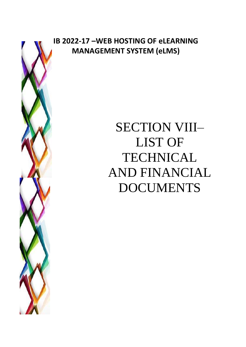

## **IB 2022-17 –WEB HOSTING OF eLEARNING MANAGEMENT SYSTEM (eLMS)**

# SECTION VIII– LIST OF TECHNICAL AND FINANCIAL DOCUMENTS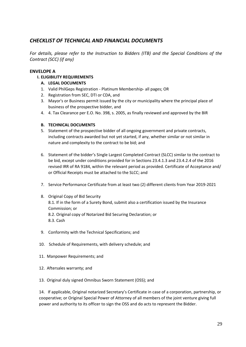### *CHECKLIST OF TECHNICAL AND FINANCIAL DOCUMENTS*

*For details, please refer to the Instruction to Bidders (ITB) and the Special Conditions of the Contract (SCC) (if any)*

#### **ENVELOPE A**

**I. ELIGIBILITY REQUIREMENTS**

#### **A. LEGAL DOCUMENTS**

- 1. Valid PhilGeps Registration Platinum Membership- all pages; OR
- 2. Registration from SEC, DTI or CDA, and
- 3. Mayor's or Business permit issued by the city or municipality where the principal place of business of the prospective bidder, and
- 4. 4. Tax Clearance per E.O. No. 398, s. 2005, as finally reviewed and approved by the BIR

#### **B. TECHNICAL DOCUMENTS**

- 5. Statement of the prospective bidder of all ongoing government and private contracts, including contracts awarded but not yet started, if any, whether similar or not similar in nature and complexity to the contract to be bid; and
- 6. Statement of the bidder's Single Largest Completed Contract (SLCC) similar to the contract to be bid, except under conditions provided for in Sections 23.4.1.3 and 23.4.2.4 of the 2016 revised IRR of RA 9184, within the relevant period as provided. Certificate of Acceptance and/ or Official Receipts must be attached to the SLCC; and
- 7. Service Performance Certificate from at least two (2) different clients from Year 2019-2021
- 8. Original Copy of Bid Security 8.1. If in the form of a Surety Bond, submit also a certification issued by the Insurance Commission; or 8.2. Original copy of Notarized Bid Securing Declaration; or 8.3. Cash
- 9. Conformity with the Technical Specifications; and
- 10. Schedule of Requirements, with delivery schedule; and
- 11. Manpower Requirements; and
- 12. Aftersales warranty; and
- 13. Original duly signed Omnibus Sworn Statement (OSS); and

14. If applicable, Original notarized Secretary's Certificate in case of a corporation, partnership, or cooperative; or Original Special Power of Attorney of all members of the joint venture giving full power and authority to its officer to sign the OSS and do acts to represent the Bidder.